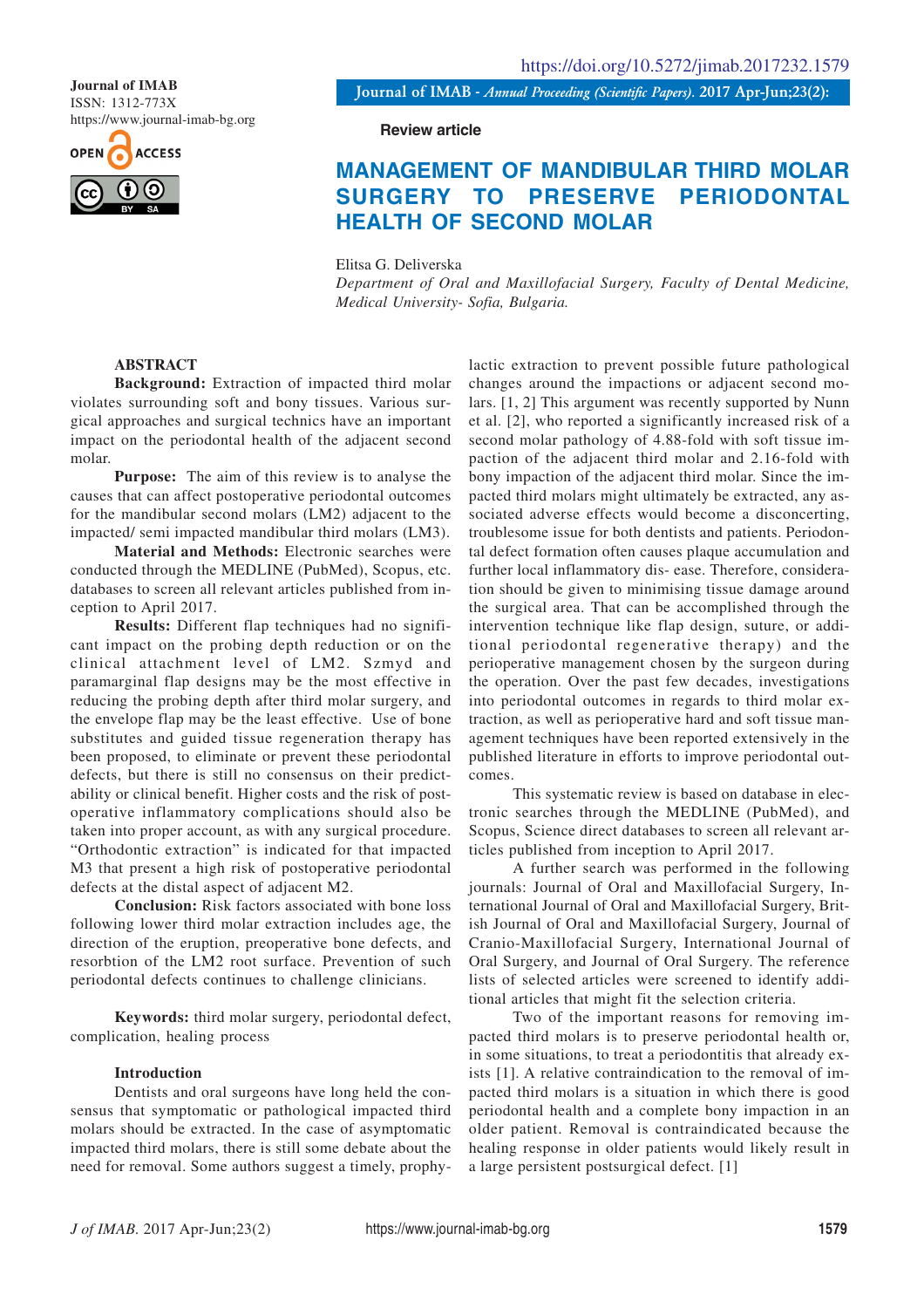ISSN: 1312-773X https://www.journal-imab-bg.org



**Journal of IMAB** *- Annual Proceeding (Scientific Papers).* **2017 Apr-Jun;23(2): Journal of IMAB**

#### **Review article**

# **MANAGEMENT OF MANDIBULAR THIRD MOLAR SURGERY TO PRESERVE PERIODONTAL HEALTH OF SECOND MOLAR**

Elitsa G. Deliverska

*Department of Oral and Maxillofacial Surgery, Faculty of Dental Medicine, Medical University- Sofia, Bulgaria.*

## **ABSTRACT**

**Background:** Extraction of impacted third molar violates surrounding soft and bony tissues. Various surgical approaches and surgical technics have an important impact on the periodontal health of the adjacent second molar.

**Purpose:** The aim of this review is to analyse the causes that can affect postoperative periodontal outcomes for the mandibular second molars (LM2) adjacent to the impacted/ semi impacted mandibular third molars (LM3).

**Material and Methods:** Electronic searches were conducted through the MEDLINE (PubMed), Scopus, etc. databases to screen all relevant articles published from inception to April 2017.

**Results:** Different flap techniques had no significant impact on the probing depth reduction or on the clinical attachment level of LM2. Szmyd and paramarginal flap designs may be the most effective in reducing the probing depth after third molar surgery, and the envelope flap may be the least effective. Use of bone substitutes and guided tissue regeneration therapy has been proposed, to eliminate or prevent these periodontal defects, but there is still no consensus on their predictability or clinical benefit. Higher costs and the risk of postoperative inflammatory complications should also be taken into proper account, as with any surgical procedure. "Orthodontic extraction" is indicated for that impacted M3 that present a high risk of postoperative periodontal defects at the distal aspect of adjacent M2.

**Conclusion:** Risk factors associated with bone loss following lower third molar extraction includes age, the direction of the eruption, preoperative bone defects, and resorbtion of the LM2 root surface. Prevention of such periodontal defects continues to challenge clinicians.

**Keywords:** third molar surgery, periodontal defect, complication, healing process

## **Introduction**

Dentists and oral surgeons have long held the consensus that symptomatic or pathological impacted third molars should be extracted. In the case of asymptomatic impacted third molars, there is still some debate about the need for removal. Some authors suggest a timely, prophylactic extraction to prevent possible future pathological changes around the impactions or adjacent second molars. [1, 2] This argument was recently supported by Nunn et al. [2], who reported a significantly increased risk of a second molar pathology of 4.88-fold with soft tissue impaction of the adjacent third molar and 2.16-fold with bony impaction of the adjacent third molar. Since the impacted third molars might ultimately be extracted, any associated adverse effects would become a disconcerting, troublesome issue for both dentists and patients. Periodontal defect formation often causes plaque accumulation and further local inflammatory dis- ease. Therefore, consideration should be given to minimising tissue damage around the surgical area. That can be accomplished through the intervention technique like flap design, suture, or additional periodontal regenerative therapy) and the perioperative management chosen by the surgeon during the operation. Over the past few decades, investigations into periodontal outcomes in regards to third molar extraction, as well as perioperative hard and soft tissue management techniques have been reported extensively in the published literature in efforts to improve periodontal outcomes.

This systematic review is based on database in electronic searches through the MEDLINE (PubMed), and Scopus, Science direct databases to screen all relevant articles published from inception to April 2017.

A further search was performed in the following journals: Journal of Oral and Maxillofacial Surgery, International Journal of Oral and Maxillofacial Surgery, British Journal of Oral and Maxillofacial Surgery, Journal of Cranio-Maxillofacial Surgery, International Journal of Oral Surgery, and Journal of Oral Surgery. The reference lists of selected articles were screened to identify additional articles that might fit the selection criteria.

Two of the important reasons for removing impacted third molars is to preserve periodontal health or, in some situations, to treat a periodontitis that already exists [1]. A relative contraindication to the removal of impacted third molars is a situation in which there is good periodontal health and a complete bony impaction in an older patient. Removal is contraindicated because the healing response in older patients would likely result in a large persistent postsurgical defect. [1]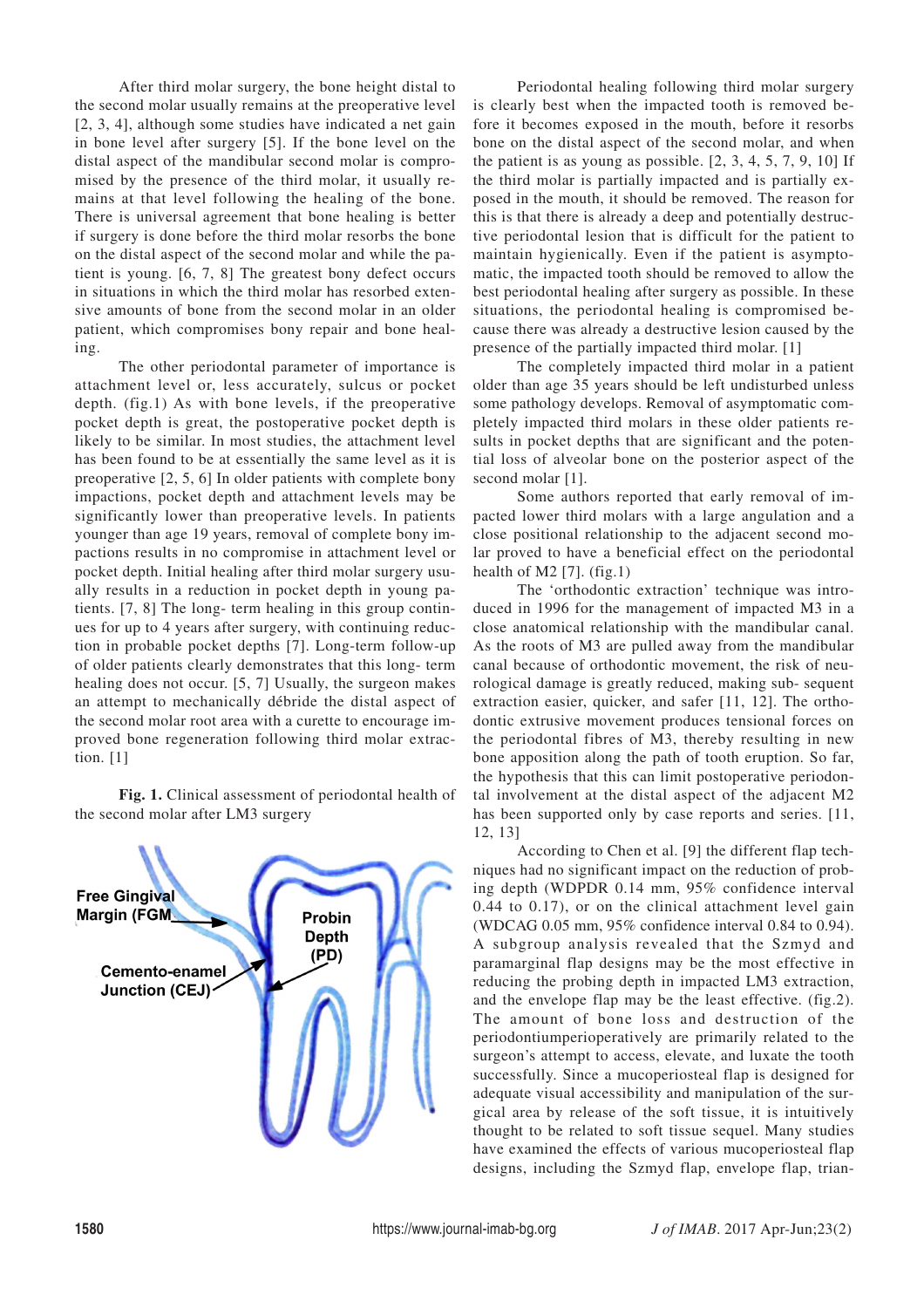After third molar surgery, the bone height distal to the second molar usually remains at the preoperative level [2, 3, 4], although some studies have indicated a net gain in bone level after surgery [5]. If the bone level on the distal aspect of the mandibular second molar is compromised by the presence of the third molar, it usually remains at that level following the healing of the bone. There is universal agreement that bone healing is better if surgery is done before the third molar resorbs the bone on the distal aspect of the second molar and while the patient is young. [6, 7, 8] The greatest bony defect occurs in situations in which the third molar has resorbed extensive amounts of bone from the second molar in an older patient, which compromises bony repair and bone healing.

The other periodontal parameter of importance is attachment level or, less accurately, sulcus or pocket depth. (fig.1) As with bone levels, if the preoperative pocket depth is great, the postoperative pocket depth is likely to be similar. In most studies, the attachment level has been found to be at essentially the same level as it is preoperative [2, 5, 6] In older patients with complete bony impactions, pocket depth and attachment levels may be significantly lower than preoperative levels. In patients younger than age 19 years, removal of complete bony impactions results in no compromise in attachment level or pocket depth. Initial healing after third molar surgery usually results in a reduction in pocket depth in young patients. [7, 8] The long- term healing in this group continues for up to 4 years after surgery, with continuing reduction in probable pocket depths [7]. Long-term follow-up of older patients clearly demonstrates that this long- term healing does not occur. [5, 7] Usually, the surgeon makes an attempt to mechanically débride the distal aspect of the second molar root area with a curette to encourage improved bone regeneration following third molar extraction. [1]

**Fig. 1.** Clinical assessment of periodontal health of the second molar after LM3 surgery



Periodontal healing following third molar surgery is clearly best when the impacted tooth is removed before it becomes exposed in the mouth, before it resorbs bone on the distal aspect of the second molar, and when the patient is as young as possible.  $[2, 3, 4, 5, 7, 9, 10]$  If the third molar is partially impacted and is partially exposed in the mouth, it should be removed. The reason for this is that there is already a deep and potentially destructive periodontal lesion that is difficult for the patient to maintain hygienically. Even if the patient is asymptomatic, the impacted tooth should be removed to allow the best periodontal healing after surgery as possible. In these situations, the periodontal healing is compromised because there was already a destructive lesion caused by the presence of the partially impacted third molar. [1]

The completely impacted third molar in a patient older than age 35 years should be left undisturbed unless some pathology develops. Removal of asymptomatic completely impacted third molars in these older patients results in pocket depths that are significant and the potential loss of alveolar bone on the posterior aspect of the second molar [1].

Some authors reported that early removal of impacted lower third molars with a large angulation and a close positional relationship to the adjacent second molar proved to have a beneficial effect on the periodontal health of M2  $[7]$ . (fig.1)

The 'orthodontic extraction' technique was introduced in 1996 for the management of impacted M3 in a close anatomical relationship with the mandibular canal. As the roots of M3 are pulled away from the mandibular canal because of orthodontic movement, the risk of neurological damage is greatly reduced, making sub- sequent extraction easier, quicker, and safer [11, 12]. The orthodontic extrusive movement produces tensional forces on the periodontal fibres of M3, thereby resulting in new bone apposition along the path of tooth eruption. So far, the hypothesis that this can limit postoperative periodontal involvement at the distal aspect of the adjacent M2 has been supported only by case reports and series. [11, 12, 13]

According to Chen et al. [9] the different flap techniques had no significant impact on the reduction of probing depth (WDPDR 0.14 mm, 95% confidence interval 0.44 to 0.17), or on the clinical attachment level gain (WDCAG 0.05 mm, 95% confidence interval 0.84 to 0.94). A subgroup analysis revealed that the Szmyd and paramarginal flap designs may be the most effective in reducing the probing depth in impacted LM3 extraction, and the envelope flap may be the least effective. (fig.2). The amount of bone loss and destruction of the periodontiumperioperatively are primarily related to the surgeon's attempt to access, elevate, and luxate the tooth successfully. Since a mucoperiosteal flap is designed for adequate visual accessibility and manipulation of the surgical area by release of the soft tissue, it is intuitively thought to be related to soft tissue sequel. Many studies have examined the effects of various mucoperiosteal flap designs, including the Szmyd flap, envelope flap, trian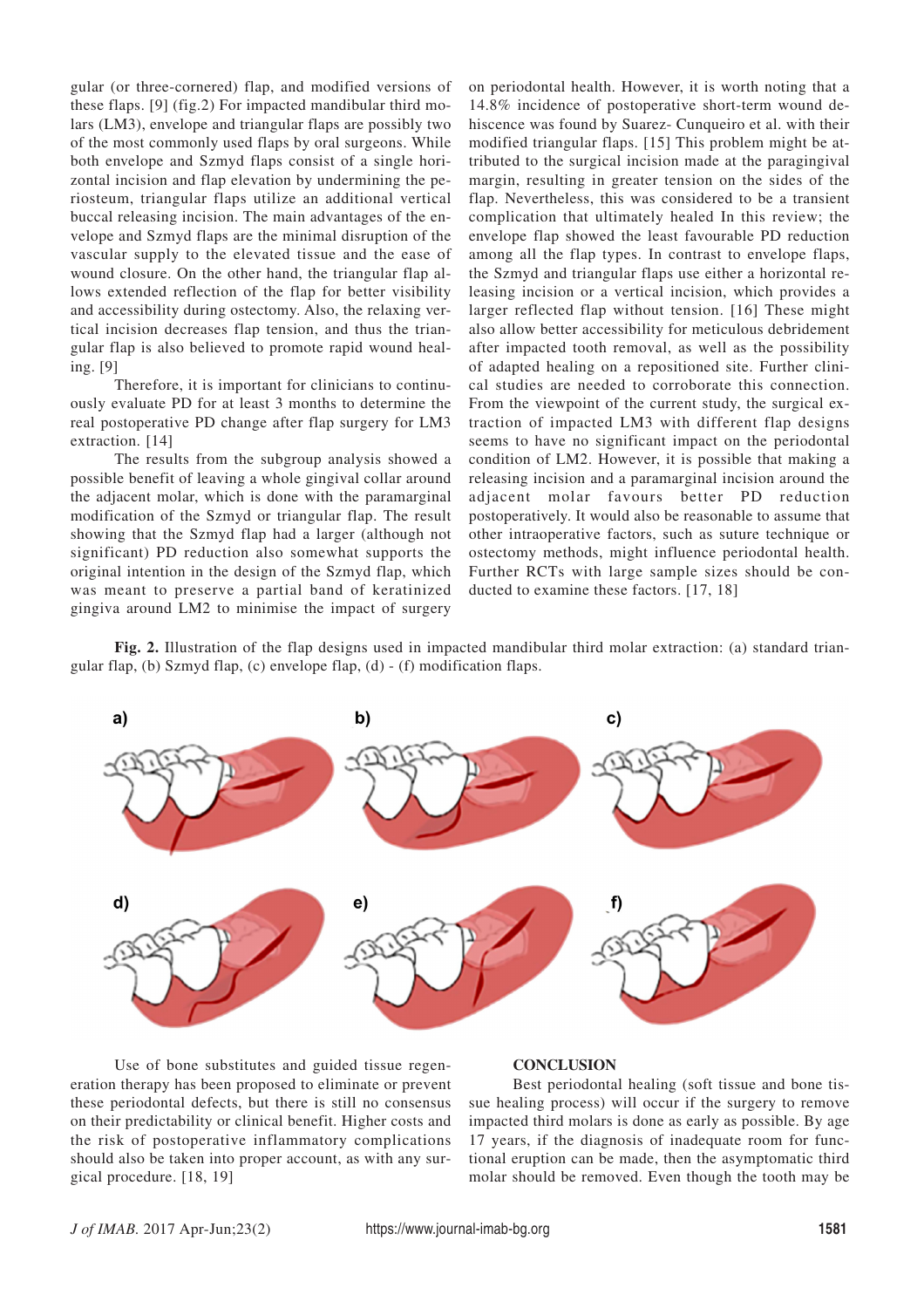gular (or three-cornered) flap, and modified versions of these flaps. [9] (fig.2) For impacted mandibular third molars (LM3), envelope and triangular flaps are possibly two of the most commonly used flaps by oral surgeons. While both envelope and Szmyd flaps consist of a single horizontal incision and flap elevation by undermining the periosteum, triangular flaps utilize an additional vertical buccal releasing incision. The main advantages of the envelope and Szmyd flaps are the minimal disruption of the vascular supply to the elevated tissue and the ease of wound closure. On the other hand, the triangular flap allows extended reflection of the flap for better visibility and accessibility during ostectomy. Also, the relaxing vertical incision decreases flap tension, and thus the triangular flap is also believed to promote rapid wound healing. [9]

Therefore, it is important for clinicians to continuously evaluate PD for at least 3 months to determine the real postoperative PD change after flap surgery for LM3 extraction. [14]

The results from the subgroup analysis showed a possible benefit of leaving a whole gingival collar around the adjacent molar, which is done with the paramarginal modification of the Szmyd or triangular flap. The result showing that the Szmyd flap had a larger (although not significant) PD reduction also somewhat supports the original intention in the design of the Szmyd flap, which was meant to preserve a partial band of keratinized gingiva around LM2 to minimise the impact of surgery on periodontal health. However, it is worth noting that a 14.8% incidence of postoperative short-term wound dehiscence was found by Suarez- Cunqueiro et al. with their modified triangular flaps. [15] This problem might be attributed to the surgical incision made at the paragingival margin, resulting in greater tension on the sides of the flap. Nevertheless, this was considered to be a transient complication that ultimately healed In this review; the envelope flap showed the least favourable PD reduction among all the flap types. In contrast to envelope flaps, the Szmyd and triangular flaps use either a horizontal releasing incision or a vertical incision, which provides a larger reflected flap without tension. [16] These might also allow better accessibility for meticulous debridement after impacted tooth removal, as well as the possibility of adapted healing on a repositioned site. Further clinical studies are needed to corroborate this connection. From the viewpoint of the current study, the surgical extraction of impacted LM3 with different flap designs seems to have no significant impact on the periodontal condition of LM2. However, it is possible that making a releasing incision and a paramarginal incision around the adjacent molar favours better PD reduction postoperatively. It would also be reasonable to assume that other intraoperative factors, such as suture technique or ostectomy methods, might influence periodontal health. Further RCTs with large sample sizes should be conducted to examine these factors. [17, 18]

**Fig. 2.** Illustration of the flap designs used in impacted mandibular third molar extraction: (a) standard triangular flap, (b) Szmyd flap, (c) envelope flap, (d) - (f) modification flaps.



Use of bone substitutes and guided tissue regeneration therapy has been proposed to eliminate or prevent these periodontal defects, but there is still no consensus on their predictability or clinical benefit. Higher costs and the risk of postoperative inflammatory complications should also be taken into proper account, as with any surgical procedure. [18, 19]

#### **CONCLUSION**

Best periodontal healing (soft tissue and bone tissue healing process) will occur if the surgery to remove impacted third molars is done as early as possible. By age 17 years, if the diagnosis of inadequate room for functional eruption can be made, then the asymptomatic third molar should be removed. Even though the tooth may be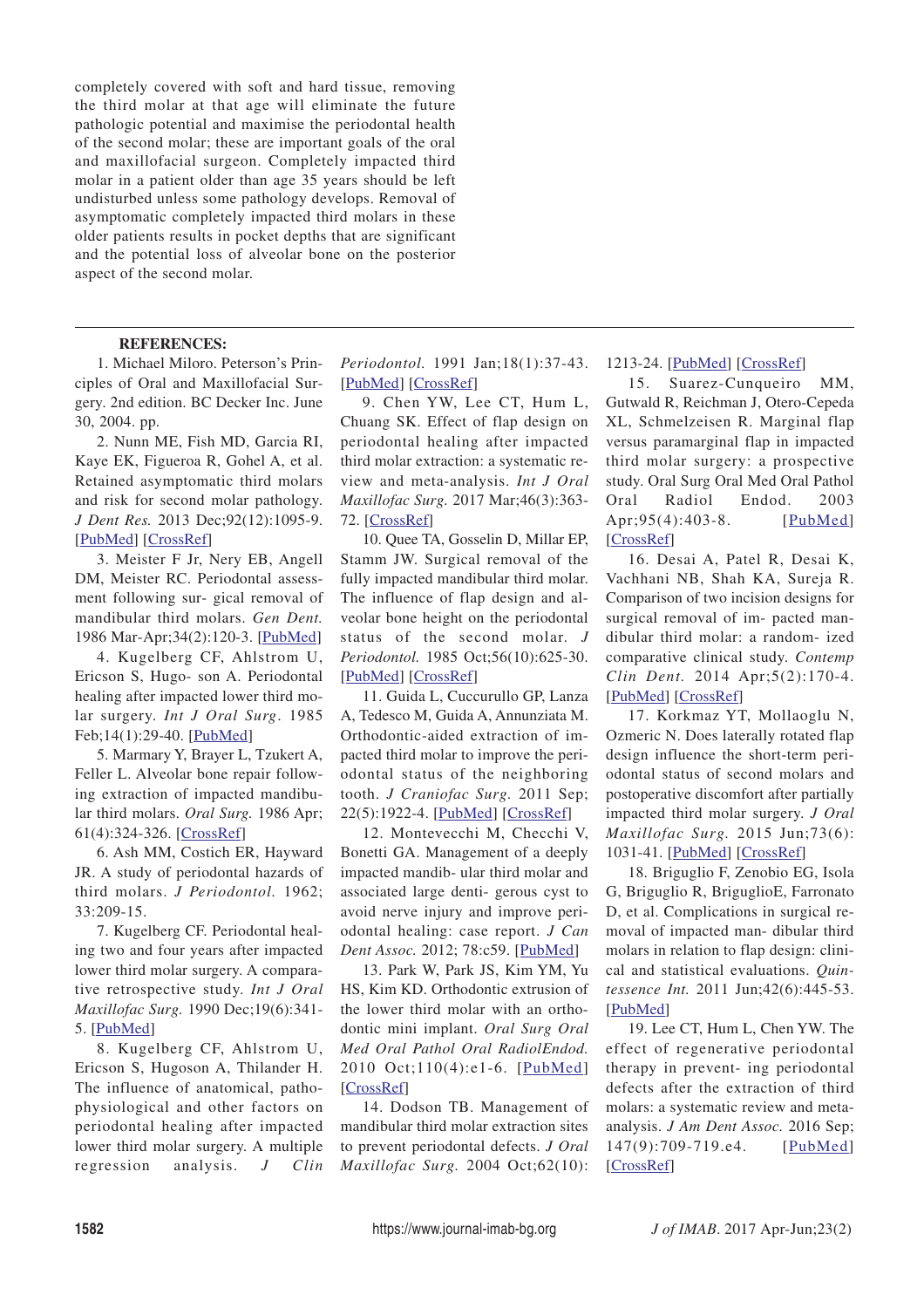completely covered with soft and hard tissue, removing the third molar at that age will eliminate the future pathologic potential and maximise the periodontal health of the second molar; these are important goals of the oral and maxillofacial surgeon. Completely impacted third molar in a patient older than age 35 years should be left undisturbed unless some pathology develops. Removal of asymptomatic completely impacted third molars in these older patients results in pocket depths that are significant and the potential loss of alveolar bone on the posterior aspect of the second molar.

## **REFERENCES:**

1. Michael Miloro. Peterson's Principles of Oral and Maxillofacial Surgery. 2nd edition. BC Decker Inc. June 30, 2004. pp.

2. Nunn ME, Fish MD, Garcia RI, Kaye EK, Figueroa R, Gohel A, et al. Retained asymptomatic third molars and risk for second molar pathology. *J Dent Res.* 2013 Dec;92(12):1095-9. [PubMed] [CrossRef]

3. Meister F Jr, Nery EB, Angell DM, Meister RC. Periodontal assessment following sur- gical removal of mandibular third molars. *Gen Dent.* 1986 Mar-Apr;34(2):120-3. [PubMed]

4. Kugelberg CF, Ahlstrom U, Ericson S, Hugo- son A. Periodontal healing after impacted lower third molar surgery. *Int J Oral Surg*. 1985 Feb;14(1):29-40. [**PubMed**]

5. Marmary Y, Brayer L, Tzukert A, Feller L. Alveolar bone repair following extraction of impacted mandibular third molars. *Oral Surg.* 1986 Apr; 61(4):324-326. [CrossRef]

6. Ash MM, Costich ER, Hayward JR. A study of periodontal hazards of third molars. *J Periodontol.* 1962; 33:209-15.

7. Kugelberg CF. Periodontal healing two and four years after impacted lower third molar surgery. A comparative retrospective study. *Int J Oral Maxillofac Surg.* 1990 Dec;19(6):341- 5. [PubMed]

8. Kugelberg CF, Ahlstrom U, Ericson S, Hugoson A, Thilander H. The influence of anatomical, pathophysiological and other factors on periodontal healing after impacted lower third molar surgery. A multiple regression analysis. *J Clin*

*Periodontol.* 1991 Jan;18(1):37-43. [PubMed] [CrossRef]

9. Chen YW, Lee CT, Hum L, Chuang SK. Effect of flap design on periodontal healing after impacted third molar extraction: a systematic review and meta-analysis. *Int J Oral Maxillofac Surg.* 2017 Mar;46(3):363- 72. [CrossRef]

10. Quee TA, Gosselin D, Millar EP, Stamm JW. Surgical removal of the fully impacted mandibular third molar. The influence of flap design and alveolar bone height on the periodontal status of the second molar. *J Periodontol.* 1985 Oct;56(10):625-30. [PubMed] [CrossRef]

11. Guida L, Cuccurullo GP, Lanza A, Tedesco M, Guida A, Annunziata M. Orthodontic-aided extraction of impacted third molar to improve the periodontal status of the neighboring tooth. *J Craniofac Surg.* 2011 Sep; 22(5):1922-4. [PubMed] [CrossRef]

12. Montevecchi M, Checchi V, Bonetti GA. Management of a deeply impacted mandib- ular third molar and associated large denti- gerous cyst to avoid nerve injury and improve periodontal healing: case report. *J Can Dent Assoc.* 2012; 78:c59. [PubMed]

13. Park W, Park JS, Kim YM, Yu HS, Kim KD. Orthodontic extrusion of the lower third molar with an orthodontic mini implant. *Oral Surg Oral Med Oral Pathol Oral RadiolEndod.* 2010 Oct;110(4):e1-6. [PubMed] [CrossRef]

14. Dodson TB. Management of mandibular third molar extraction sites to prevent periodontal defects. *J Oral Maxillofac Surg.* 2004 Oct;62(10):

### 1213-24. [PubMed] [CrossRef]

15. Suarez-Cunqueiro MM, Gutwald R, Reichman J, Otero-Cepeda XL, Schmelzeisen R. Marginal flap versus paramarginal flap in impacted third molar surgery: a prospective study. Oral Surg Oral Med Oral Pathol Oral Radiol Endod. 2003 Apr; 95(4): 403-8. [PubMed] [CrossRef]

16. Desai A, Patel R, Desai K, Vachhani NB, Shah KA, Sureja R. Comparison of two incision designs for surgical removal of im- pacted mandibular third molar: a random- ized comparative clinical study. *Contemp Clin Dent.* 2014 Apr;5(2):170-4. [PubMed] [CrossRef]

17. Korkmaz YT, Mollaoglu N, Ozmeric N. Does laterally rotated flap design influence the short-term periodontal status of second molars and postoperative discomfort after partially impacted third molar surgery. *J Oral Maxillofac Surg.* 2015 Jun;73(6): 1031-41. [PubMed] [CrossRef]

18. Briguglio F, Zenobio EG, Isola G, Briguglio R, BriguglioE, Farronato D, et al. Complications in surgical removal of impacted man- dibular third molars in relation to flap design: clinical and statistical evaluations. *Quintessence Int.* 2011 Jun;42(6):445-53. [PubMed]

19. Lee CT, Hum L, Chen YW. The effect of regenerative periodontal therapy in prevent- ing periodontal defects after the extraction of third molars: a systematic review and metaanalysis. *J Am Dent Assoc.* 2016 Sep; 147(9):709-719.e4. [PubMed] [CrossRef]